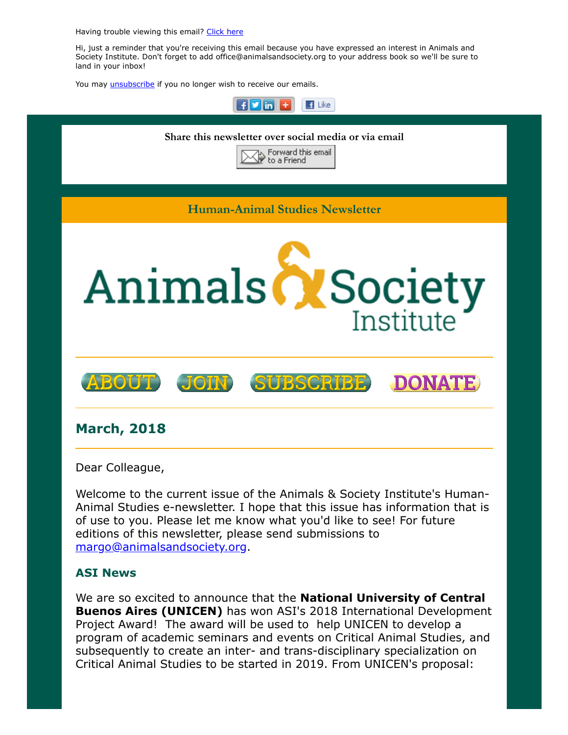Having trouble viewing this email? [Click](http://campaign.r20.constantcontact.com/render?ca=bf770a7c-ce05-4109-9303-12f5ddd32bca&preview=true&m=1117082078075&id=preview) here

Hi, just a reminder that you're receiving this email because you have expressed an interest in Animals and Society Institute. Don't forget to add office@animalsandsociety.org to your address book so we'll be sure to land in your inbox!

You may *[unsubscribe](https://visitor.constantcontact.com/do?p=un&mse=0016u8cGCOk4ijLe6EYFlbq8UmlFeKV0nFU&t=001ZprWLSAncXtwaQ6ncDWvnA%3D%3D&id=001b-xBWU3VMkcM8dYr8taaWXSJRe02Iknl&llr=88spulqab)* if you no longer wish to receive our emails.



Welcome to the current issue of the Animals & Society Institute's Human-Animal Studies e-newsletter. I hope that this issue has information that is of use to you. Please let me know what you'd like to see! For future editions of this newsletter, please send submissions to [margo@animalsandsociety.org](mailto:margo@animalsandsociety.org).

## ASI News

We are so excited to announce that the **National University of Central Buenos Aires (UNICEN)** has won ASI's 2018 International Development Project Award! The award will be used to help UNICEN to develop a program of academic seminars and events on Critical Animal Studies, and subsequently to create an inter- and trans-disciplinary specialization on Critical Animal Studies to be started in 2019. From UNICEN's proposal: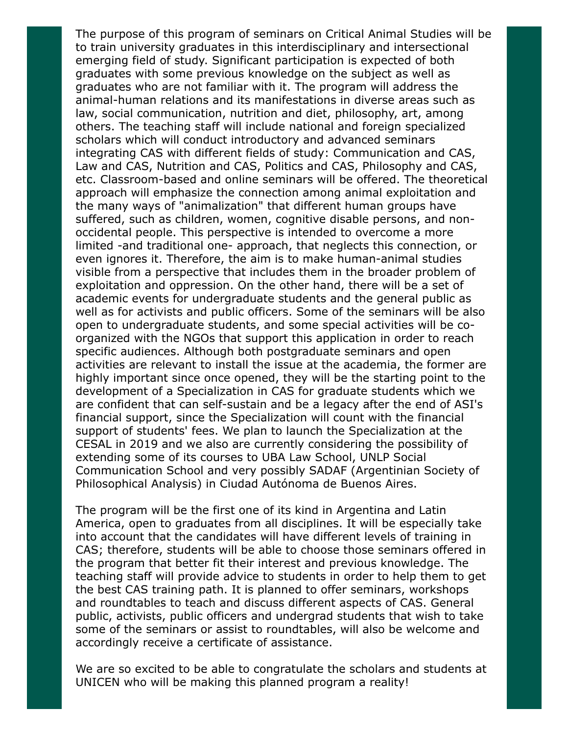The purpose of this program of seminars on Critical Animal Studies will be to train university graduates in this interdisciplinary and intersectional emerging field of study. Significant participation is expected of both graduates with some previous knowledge on the subject as well as graduates who are not familiar with it. The program will address the animal-human relations and its manifestations in diverse areas such as law, social communication, nutrition and diet, philosophy, art, among others. The teaching staff will include national and foreign specialized scholars which will conduct introductory and advanced seminars integrating CAS with different fields of study: Communication and CAS, Law and CAS, Nutrition and CAS, Politics and CAS, Philosophy and CAS, etc. Classroom-based and online seminars will be offered. The theoretical approach will emphasize the connection among animal exploitation and the many ways of "animalization" that different human groups have suffered, such as children, women, cognitive disable persons, and nonoccidental people. This perspective is intended to overcome a more limited -and traditional one- approach, that neglects this connection, or even ignores it. Therefore, the aim is to make human-animal studies visible from a perspective that includes them in the broader problem of exploitation and oppression. On the other hand, there will be a set of academic events for undergraduate students and the general public as well as for activists and public officers. Some of the seminars will be also open to undergraduate students, and some special activities will be coorganized with the NGOs that support this application in order to reach specific audiences. Although both postgraduate seminars and open activities are relevant to install the issue at the academia, the former are highly important since once opened, they will be the starting point to the development of a Specialization in CAS for graduate students which we are confident that can self-sustain and be a legacy after the end of ASI's financial support, since the Specialization will count with the financial support of students' fees. We plan to launch the Specialization at the CESAL in 2019 and we also are currently considering the possibility of extending some of its courses to UBA Law School, UNLP Social Communication School and very possibly SADAF (Argentinian Society of Philosophical Analysis) in Ciudad Autónoma de Buenos Aires.

The program will be the first one of its kind in Argentina and Latin America, open to graduates from all disciplines. It will be especially take into account that the candidates will have different levels of training in CAS; therefore, students will be able to choose those seminars offered in the program that better fit their interest and previous knowledge. The teaching staff will provide advice to students in order to help them to get the best CAS training path. It is planned to offer seminars, workshops and roundtables to teach and discuss different aspects of CAS. General public, activists, public officers and undergrad students that wish to take some of the seminars or assist to roundtables, will also be welcome and accordingly receive a certificate of assistance.

We are so excited to be able to congratulate the scholars and students at UNICEN who will be making this planned program a reality!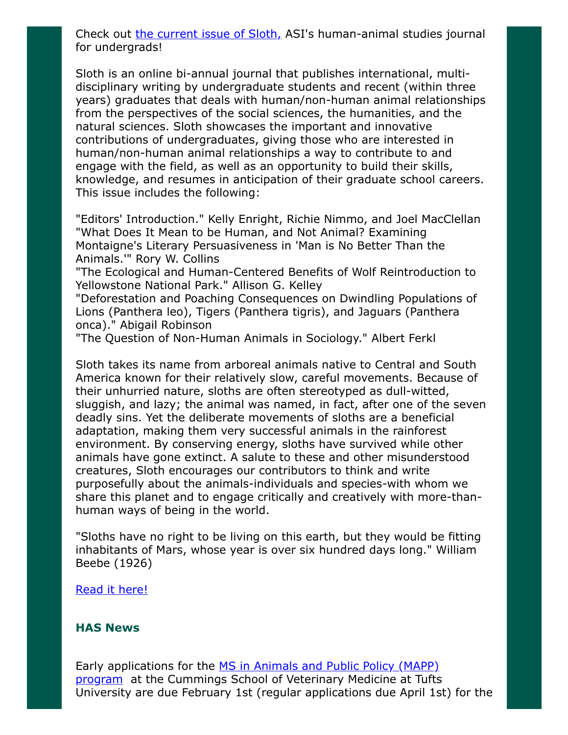Check out [the current issue of Sloth,](https://www.animalsandsociety.org/human-animal-studies/sloth/sloth-volume-4-no-1-winter-2018/) ASI's human-animal studies journal for undergrads!

Sloth is an online bi-annual journal that publishes international, multidisciplinary writing by undergraduate students and recent (within three years) graduates that deals with human/non-human animal relationships from the perspectives of the social sciences, the humanities, and the natural sciences. Sloth showcases the important and innovative contributions of undergraduates, giving those who are interested in human/non-human animal relationships a way to contribute to and engage with the field, as well as an opportunity to build their skills, knowledge, and resumes in anticipation of their graduate school careers. This issue includes the following:

"Editors' Introduction." Kelly Enright, Richie Nimmo, and Joel MacClellan "What Does It Mean to be Human, and Not Animal? Examining Montaigne's Literary Persuasiveness in 'Man is No Better Than the Animals.'" Rory W. Collins

"The Ecological and Human-Centered Benefits of Wolf Reintroduction to Yellowstone National Park." Allison G. Kelley

"Deforestation and Poaching Consequences on Dwindling Populations of Lions (Panthera leo), Tigers (Panthera tigris), and Jaguars (Panthera onca)." Abigail Robinson

"The Question of Non-Human Animals in Sociology." Albert Ferkl

Sloth takes its name from arboreal animals native to Central and South America known for their relatively slow, careful movements. Because of their unhurried nature, sloths are often stereotyped as dull-witted, sluggish, and lazy; the animal was named, in fact, after one of the seven deadly sins. Yet the deliberate movements of sloths are a beneficial adaptation, making them very successful animals in the rainforest environment. By conserving energy, sloths have survived while other animals have gone extinct. A salute to these and other misunderstood creatures, Sloth encourages our contributors to think and write purposefully about the animals-individuals and species-with whom we share this planet and to engage critically and creatively with more-thanhuman ways of being in the world.

"Sloths have no right to be living on this earth, but they would be fitting inhabitants of Mars, whose year is over six hundred days long." William Beebe (1926)

#### [Read it here!](https://www.animalsandsociety.org/human-animal-studies/sloth/sloth-volume-4-no-1-winter-2018/)

#### HAS News

[Early applications for the MS in Animals and Public Policy \(MAPP\)](http://vet.tufts.edu/education/graduate-programs/degrees-offered/mapp/) program at the Cummings School of Veterinary Medicine at Tufts University are due February 1st (regular applications due April 1st) for the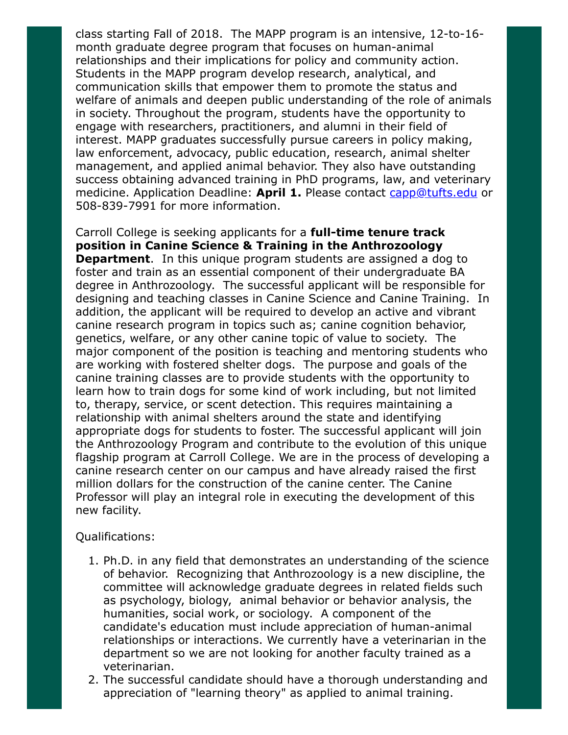class starting Fall of 2018. The MAPP program is an intensive, 12-to-16 month graduate degree program that focuses on human-animal relationships and their implications for policy and community action. Students in the MAPP program develop research, analytical, and communication skills that empower them to promote the status and welfare of animals and deepen public understanding of the role of animals in society. Throughout the program, students have the opportunity to engage with researchers, practitioners, and alumni in their field of interest. MAPP graduates successfully pursue careers in policy making, law enforcement, advocacy, public education, research, animal shelter management, and applied animal behavior. They also have outstanding success obtaining advanced training in PhD programs, law, and veterinary medicine. Application Deadline: April 1. Please contact [capp@tufts.edu](mailto:capp@tufts.edu) or 508-839-7991 for more information.

Carroll College is seeking applicants for a **full-time tenure track** position in Canine Science & Training in the Anthrozoology **Department.** In this unique program students are assigned a dog to foster and train as an essential component of their undergraduate BA degree in Anthrozoology. The successful applicant will be responsible for designing and teaching classes in Canine Science and Canine Training. In addition, the applicant will be required to develop an active and vibrant canine research program in topics such as; canine cognition behavior, genetics, welfare, or any other canine topic of value to society. The major component of the position is teaching and mentoring students who are working with fostered shelter dogs. The purpose and goals of the canine training classes are to provide students with the opportunity to learn how to train dogs for some kind of work including, but not limited to, therapy, service, or scent detection. This requires maintaining a relationship with animal shelters around the state and identifying appropriate dogs for students to foster. The successful applicant will join the Anthrozoology Program and contribute to the evolution of this unique flagship program at Carroll College. We are in the process of developing a canine research center on our campus and have already raised the first million dollars for the construction of the canine center. The Canine Professor will play an integral role in executing the development of this new facility.

### Qualifications:

- 1. Ph.D. in any field that demonstrates an understanding of the science of behavior. Recognizing that Anthrozoology is a new discipline, the committee will acknowledge graduate degrees in related fields such as psychology, biology, animal behavior or behavior analysis, the humanities, social work, or sociology. A component of the candidate's education must include appreciation of human-animal relationships or interactions. We currently have a veterinarian in the department so we are not looking for another faculty trained as a veterinarian.
- 2. The successful candidate should have a thorough understanding and appreciation of "learning theory" as applied to animal training.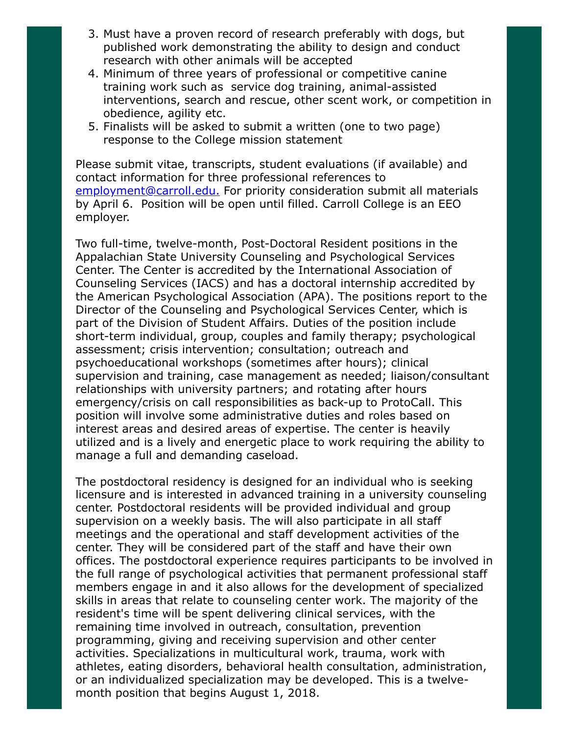- 3. Must have a proven record of research preferably with dogs, but published work demonstrating the ability to design and conduct research with other animals will be accepted
- 4. Minimum of three years of professional or competitive canine training work such as service dog training, animal-assisted interventions, search and rescue, other scent work, or competition in obedience, agility etc.
- 5. Finalists will be asked to submit a written (one to two page) response to the College mission statement

Please submit vitae, transcripts, student evaluations (if available) and contact information for three professional references to [employment@carroll.edu.](mailto:employmet@carroll.edu) For priority consideration submit all materials by April 6. Position will be open until filled. Carroll College is an EEO employer.

Two full-time, twelve-month, Post-Doctoral Resident positions in the Appalachian State University Counseling and Psychological Services Center. The Center is accredited by the International Association of Counseling Services (IACS) and has a doctoral internship accredited by the American Psychological Association (APA). The positions report to the Director of the Counseling and Psychological Services Center, which is part of the Division of Student Affairs. Duties of the position include short-term individual, group, couples and family therapy; psychological assessment; crisis intervention; consultation; outreach and psychoeducational workshops (sometimes after hours); clinical supervision and training, case management as needed; liaison/consultant relationships with university partners; and rotating after hours emergency/crisis on call responsibilities as back-up to ProtoCall. This position will involve some administrative duties and roles based on interest areas and desired areas of expertise. The center is heavily utilized and is a lively and energetic place to work requiring the ability to manage a full and demanding caseload.

The postdoctoral residency is designed for an individual who is seeking licensure and is interested in advanced training in a university counseling center. Postdoctoral residents will be provided individual and group supervision on a weekly basis. The will also participate in all staff meetings and the operational and staff development activities of the center. They will be considered part of the staff and have their own offices. The postdoctoral experience requires participants to be involved in the full range of psychological activities that permanent professional staff members engage in and it also allows for the development of specialized skills in areas that relate to counseling center work. The majority of the resident's time will be spent delivering clinical services, with the remaining time involved in outreach, consultation, prevention programming, giving and receiving supervision and other center activities. Specializations in multicultural work, trauma, work with athletes, eating disorders, behavioral health consultation, administration, or an individualized specialization may be developed. This is a twelvemonth position that begins August 1, 2018.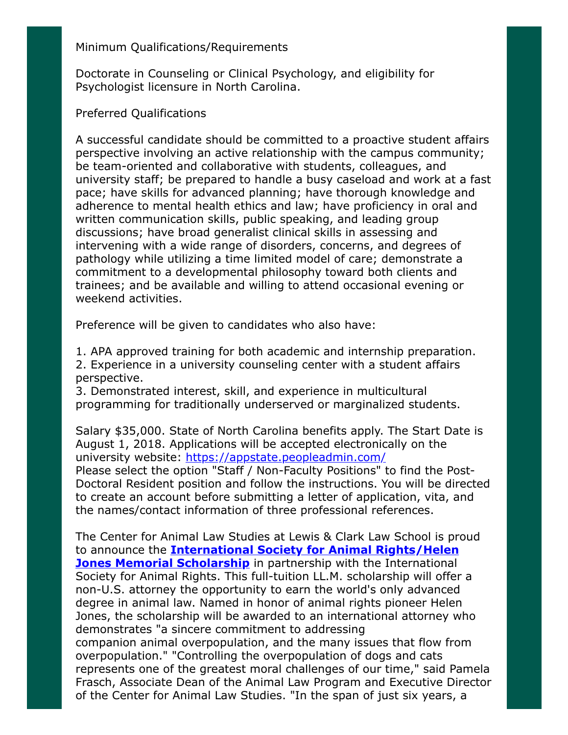## Minimum Qualifications/Requirements

Doctorate in Counseling or Clinical Psychology, and eligibility for Psychologist licensure in North Carolina.

## Preferred Qualifications

A successful candidate should be committed to a proactive student affairs perspective involving an active relationship with the campus community; be team-oriented and collaborative with students, colleagues, and university staff; be prepared to handle a busy caseload and work at a fast pace; have skills for advanced planning; have thorough knowledge and adherence to mental health ethics and law; have proficiency in oral and written communication skills, public speaking, and leading group discussions; have broad generalist clinical skills in assessing and intervening with a wide range of disorders, concerns, and degrees of pathology while utilizing a time limited model of care; demonstrate a commitment to a developmental philosophy toward both clients and trainees; and be available and willing to attend occasional evening or weekend activities.

Preference will be given to candidates who also have:

1. APA approved training for both academic and internship preparation. 2. Experience in a university counseling center with a student affairs perspective.

3. Demonstrated interest, skill, and experience in multicultural programming for traditionally underserved or marginalized students.

Salary \$35,000. State of North Carolina benefits apply. The Start Date is August 1, 2018. Applications will be accepted electronically on the university website:<https://appstate.peopleadmin.com/> Please select the option "Staff / Non-Faculty Positions" to find the Post-Doctoral Resident position and follow the instructions. You will be directed to create an account before submitting a letter of application, vita, and the names/contact information of three professional references.

The Center for Animal Law Studies at Lewis & Clark Law School is proud to announce the **[International Society for Animal Rights/Helen](https://law.lclark.edu/live/profiles/8892-international-society-for-animal-rightshelen-jones) Jones Memorial Scholarship** in partnership with the International Society for Animal Rights. This full-tuition LL.M. scholarship will offer a non-U.S. attorney the opportunity to earn the world's only advanced degree in animal law. Named in honor of animal rights pioneer Helen Jones, the scholarship will be awarded to an international attorney who demonstrates "a sincere commitment to addressing companion animal overpopulation, and the many issues that flow from overpopulation." "Controlling the overpopulation of dogs and cats represents one of the greatest moral challenges of our time," said Pamela Frasch, Associate Dean of the Animal Law Program and Executive Director of the Center for Animal Law Studies. "In the span of just six years, a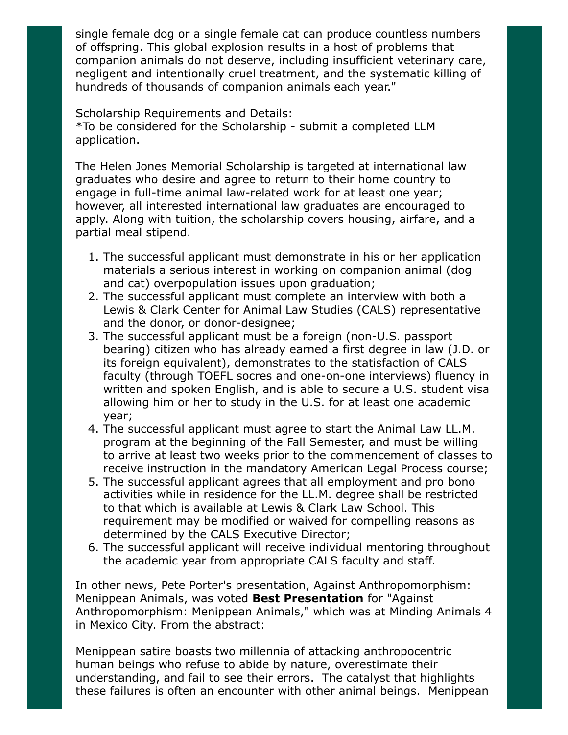single female dog or a single female cat can produce countless numbers of offspring. This global explosion results in a host of problems that companion animals do not deserve, including insufficient veterinary care, negligent and intentionally cruel treatment, and the systematic killing of hundreds of thousands of companion animals each year."

Scholarship Requirements and Details: \*To be considered for the Scholarship - submit a completed LLM application.

The Helen Jones Memorial Scholarship is targeted at international law graduates who desire and agree to return to their home country to engage in full-time animal law-related work for at least one year; however, all interested international law graduates are encouraged to apply. Along with tuition, the scholarship covers housing, airfare, and a partial meal stipend.

- 1. The successful applicant must demonstrate in his or her application materials a serious interest in working on companion animal (dog and cat) overpopulation issues upon graduation;
- 2. The successful applicant must complete an interview with both a Lewis & Clark Center for Animal Law Studies (CALS) representative and the donor, or donor-designee;
- 3. The successful applicant must be a foreign (non-U.S. passport bearing) citizen who has already earned a first degree in law (J.D. or its foreign equivalent), demonstrates to the statisfaction of CALS faculty (through TOEFL socres and one-on-one interviews) fluency in written and spoken English, and is able to secure a U.S. student visa allowing him or her to study in the U.S. for at least one academic year;
- 4. The successful applicant must agree to start the Animal Law LL.M. program at the beginning of the Fall Semester, and must be willing to arrive at least two weeks prior to the commencement of classes to receive instruction in the mandatory American Legal Process course;
- 5. The successful applicant agrees that all employment and pro bono activities while in residence for the LL.M. degree shall be restricted to that which is available at Lewis & Clark Law School. This requirement may be modified or waived for compelling reasons as determined by the CALS Executive Director;
- 6. The successful applicant will receive individual mentoring throughout the academic year from appropriate CALS faculty and staff.

In other news, Pete Porter's presentation, Against Anthropomorphism: Menippean Animals, was voted **Best Presentation** for "Against Anthropomorphism: Menippean Animals," which was at Minding Animals 4 in Mexico City. From the abstract:

Menippean satire boasts two millennia of attacking anthropocentric human beings who refuse to abide by nature, overestimate their understanding, and fail to see their errors. The catalyst that highlights these failures is often an encounter with other animal beings. Menippean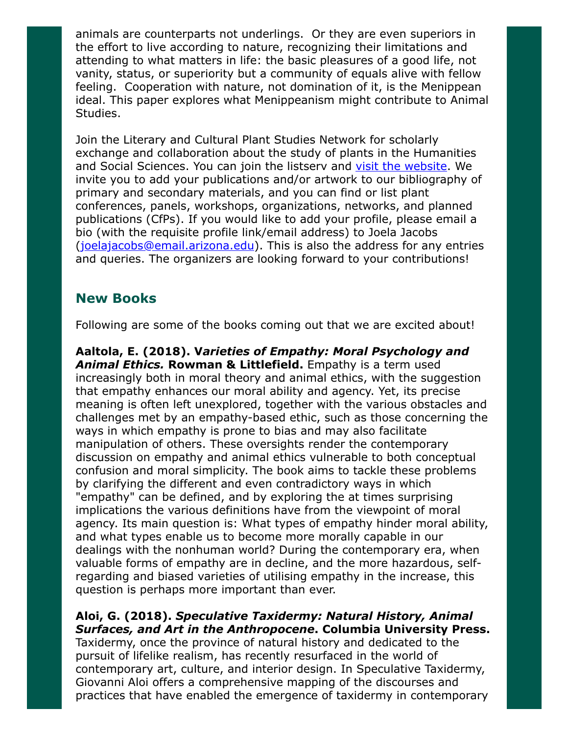animals are counterparts not underlings. Or they are even superiors in the effort to live according to nature, recognizing their limitations and attending to what matters in life: the basic pleasures of a good life, not vanity, status, or superiority but a community of equals alive with fellow feeling. Cooperation with nature, not domination of it, is the Menippean ideal. This paper explores what Menippeanism might contribute to Animal Studies.

Join the Literary and Cultural Plant Studies Network for scholarly exchange and collaboration about the study of plants in the Humanities and Social Sciences. You can join the listserv and [visit the website](http://plants.sites.arizona.edu/). We invite you to add your publications and/or artwork to our bibliography of primary and secondary materials, and you can find or list plant conferences, panels, workshops, organizations, networks, and planned publications (CfPs). If you would like to add your profile, please email a bio (with the requisite profile link/email address) to Joela Jacobs ([joelajacobs@email.arizona.edu](mailto:joelajacobs@email.arizona.edu)). This is also the address for any entries and queries. The organizers are looking forward to your contributions!

# New Books

Following are some of the books coming out that we are excited about!

Aaltola, E. (2018). Varieties of Empathy: Moral Psychology and Animal Ethics. Rowman & Littlefield. Empathy is a term used increasingly both in moral theory and animal ethics, with the suggestion that empathy enhances our moral ability and agency. Yet, its precise meaning is often left unexplored, together with the various obstacles and challenges met by an empathy-based ethic, such as those concerning the ways in which empathy is prone to bias and may also facilitate manipulation of others. These oversights render the contemporary discussion on empathy and animal ethics vulnerable to both conceptual confusion and moral simplicity. The book aims to tackle these problems by clarifying the different and even contradictory ways in which "empathy" can be defined, and by exploring the at times surprising implications the various definitions have from the viewpoint of moral agency. Its main question is: What types of empathy hinder moral ability, and what types enable us to become more morally capable in our dealings with the nonhuman world? During the contemporary era, when valuable forms of empathy are in decline, and the more hazardous, selfregarding and biased varieties of utilising empathy in the increase, this question is perhaps more important than ever.

Aloi, G. (2018). Speculative Taxidermy: Natural History, Animal Surfaces, and Art in the Anthropocene. Columbia University Press. Taxidermy, once the province of natural history and dedicated to the pursuit of lifelike realism, has recently resurfaced in the world of contemporary art, culture, and interior design. In Speculative Taxidermy, Giovanni Aloi offers a comprehensive mapping of the discourses and practices that have enabled the emergence of taxidermy in contemporary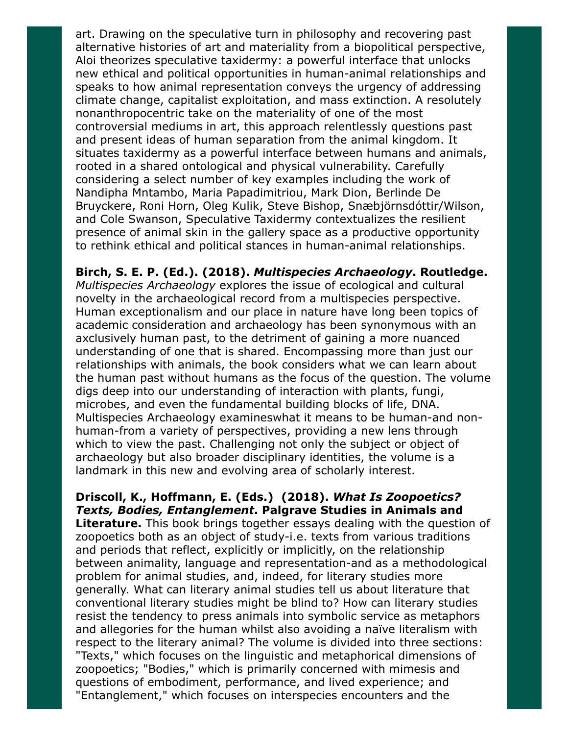art. Drawing on the speculative turn in philosophy and recovering past alternative histories of art and materiality from a biopolitical perspective, Aloi theorizes speculative taxidermy: a powerful interface that unlocks new ethical and political opportunities in human-animal relationships and speaks to how animal representation conveys the urgency of addressing climate change, capitalist exploitation, and mass extinction. A resolutely nonanthropocentric take on the materiality of one of the most controversial mediums in art, this approach relentlessly questions past and present ideas of human separation from the animal kingdom. It situates taxidermy as a powerful interface between humans and animals, rooted in a shared ontological and physical vulnerability. Carefully considering a select number of key examples including the work of Nandipha Mntambo, Maria Papadimitriou, Mark Dion, Berlinde De Bruyckere, Roni Horn, Oleg Kulik, Steve Bishop, Snæbjörnsdóttir/Wilson, and Cole Swanson, Speculative Taxidermy contextualizes the resilient presence of animal skin in the gallery space as a productive opportunity to rethink ethical and political stances in human-animal relationships.

Birch, S. E. P. (Ed.). (2018). Multispecies Archaeology. Routledge. Multispecies Archaeology explores the issue of ecological and cultural novelty in the archaeological record from a multispecies perspective. Human exceptionalism and our place in nature have long been topics of academic consideration and archaeology has been synonymous with an axclusively human past, to the detriment of gaining a more nuanced understanding of one that is shared. Encompassing more than just our relationships with animals, the book considers what we can learn about the human past without humans as the focus of the question. The volume digs deep into our understanding of interaction with plants, fungi, microbes, and even the fundamental building blocks of life, DNA. Multispecies Archaeology examineswhat it means to be human-and nonhuman-from a variety of perspectives, providing a new lens through which to view the past. Challenging not only the subject or object of archaeology but also broader disciplinary identities, the volume is a landmark in this new and evolving area of scholarly interest.

Driscoll, K., Hoffmann, E. (Eds.) (2018). What Is Zoopoetics? Texts, Bodies, Entanglement. Palgrave Studies in Animals and **Literature.** This book brings together essays dealing with the question of zoopoetics both as an object of study-i.e. texts from various traditions and periods that reflect, explicitly or implicitly, on the relationship between animality, language and representation-and as a methodological problem for animal studies, and, indeed, for literary studies more generally. What can literary animal studies tell us about literature that conventional literary studies might be blind to? How can literary studies resist the tendency to press animals into symbolic service as metaphors and allegories for the human whilst also avoiding a naïve literalism with respect to the literary animal? The volume is divided into three sections: "Texts," which focuses on the linguistic and metaphorical dimensions of zoopoetics; "Bodies," which is primarily concerned with mimesis and questions of embodiment, performance, and lived experience; and "Entanglement," which focuses on interspecies encounters and the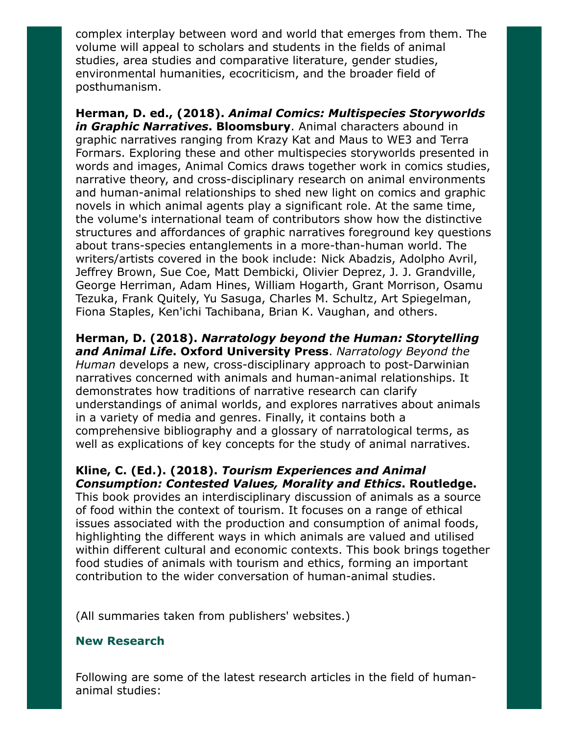complex interplay between word and world that emerges from them. The volume will appeal to scholars and students in the fields of animal studies, area studies and comparative literature, gender studies, environmental humanities, ecocriticism, and the broader field of posthumanism.

Herman, D. ed., (2018). Animal Comics: Multispecies Storyworlds in Graphic Narratives. Bloomsbury. Animal characters abound in graphic narratives ranging from Krazy Kat and Maus to WE3 and Terra Formars. Exploring these and other multispecies storyworlds presented in words and images, Animal Comics draws together work in comics studies, narrative theory, and cross-disciplinary research on animal environments and human-animal relationships to shed new light on comics and graphic novels in which animal agents play a significant role. At the same time, the volume's international team of contributors show how the distinctive structures and affordances of graphic narratives foreground key questions about trans-species entanglements in a more-than-human world. The writers/artists covered in the book include: Nick Abadzis, Adolpho Avril, Jeffrey Brown, Sue Coe, Matt Dembicki, Olivier Deprez, J. J. Grandville, George Herriman, Adam Hines, William Hogarth, Grant Morrison, Osamu Tezuka, Frank Quitely, Yu Sasuga, Charles M. Schultz, Art Spiegelman, Fiona Staples, Ken'ichi Tachibana, Brian K. Vaughan, and others.

Herman, D. (2018). Narratology beyond the Human: Storytelling and Animal Life. Oxford University Press. Narratology Beyond the Human develops a new, cross-disciplinary approach to post-Darwinian narratives concerned with animals and human-animal relationships. It demonstrates how traditions of narrative research can clarify understandings of animal worlds, and explores narratives about animals in a variety of media and genres. Finally, it contains both a comprehensive bibliography and a glossary of narratological terms, as well as explications of key concepts for the study of animal narratives.

## Kline, C. (Ed.). (2018). Tourism Experiences and Animal Consumption: Contested Values, Morality and Ethics. Routledge.

This book provides an interdisciplinary discussion of animals as a source of food within the context of tourism. It focuses on a range of ethical issues associated with the production and consumption of animal foods, highlighting the different ways in which animals are valued and utilised within different cultural and economic contexts. This book brings together food studies of animals with tourism and ethics, forming an important contribution to the wider conversation of human-animal studies.

(All summaries taken from publishers' websites.)

### New Research

Following are some of the latest research articles in the field of humananimal studies: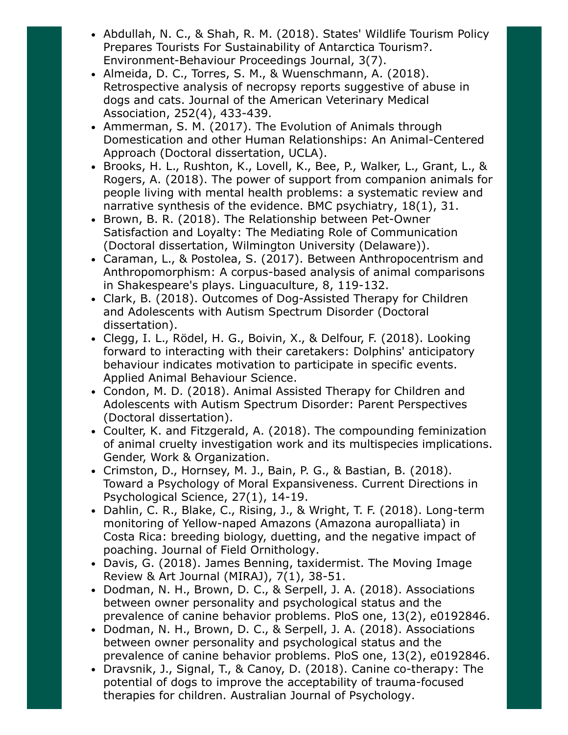- Abdullah, N. C., & Shah, R. M. (2018). States' Wildlife Tourism Policy Prepares Tourists For Sustainability of Antarctica Tourism?. Environment-Behaviour Proceedings Journal, 3(7).
- Almeida, D. C., Torres, S. M., & Wuenschmann, A. (2018). Retrospective analysis of necropsy reports suggestive of abuse in dogs and cats. Journal of the American Veterinary Medical Association, 252(4), 433-439.
- Ammerman, S. M. (2017). The Evolution of Animals through Domestication and other Human Relationships: An Animal-Centered Approach (Doctoral dissertation, UCLA).
- Brooks, H. L., Rushton, K., Lovell, K., Bee, P., Walker, L., Grant, L., & Rogers, A. (2018). The power of support from companion animals for people living with mental health problems: a systematic review and narrative synthesis of the evidence. BMC psychiatry, 18(1), 31.
- Brown, B. R. (2018). The Relationship between Pet-Owner Satisfaction and Loyalty: The Mediating Role of Communication (Doctoral dissertation, Wilmington University (Delaware)).
- Caraman, L., & Postolea, S. (2017). Between Anthropocentrism and Anthropomorphism: A corpus-based analysis of animal comparisons in Shakespeare's plays. Linguaculture, 8, 119-132.
- Clark, B. (2018). Outcomes of Dog-Assisted Therapy for Children and Adolescents with Autism Spectrum Disorder (Doctoral dissertation).
- Clegg, I. L., Rödel, H. G., Boivin, X., & Delfour, F. (2018). Looking forward to interacting with their caretakers: Dolphins' anticipatory behaviour indicates motivation to participate in specific events. Applied Animal Behaviour Science.
- Condon, M. D. (2018). Animal Assisted Therapy for Children and Adolescents with Autism Spectrum Disorder: Parent Perspectives (Doctoral dissertation).
- Coulter, K. and Fitzgerald, A. (2018). The compounding feminization of animal cruelty investigation work and its multispecies implications. Gender, Work & Organization.
- Crimston, D., Hornsey, M. J., Bain, P. G., & Bastian, B. (2018). Toward a Psychology of Moral Expansiveness. Current Directions in Psychological Science, 27(1), 14-19.
- Dahlin, C. R., Blake, C., Rising, J., & Wright, T. F. (2018). Long-term monitoring of Yellow-naped Amazons (Amazona auropalliata) in Costa Rica: breeding biology, duetting, and the negative impact of poaching. Journal of Field Ornithology.
- Davis, G. (2018). James Benning, taxidermist. The Moving Image Review & Art Journal (MIRAJ), 7(1), 38-51.
- Dodman, N. H., Brown, D. C., & Serpell, J. A. (2018). Associations between owner personality and psychological status and the prevalence of canine behavior problems. PloS one, 13(2), e0192846.
- Dodman, N. H., Brown, D. C., & Serpell, J. A. (2018). Associations between owner personality and psychological status and the prevalence of canine behavior problems. PloS one, 13(2), e0192846.
- Dravsnik, J., Signal, T., & Canoy, D. (2018). Canine co-therapy: The potential of dogs to improve the acceptability of trauma-focused therapies for children. Australian Journal of Psychology.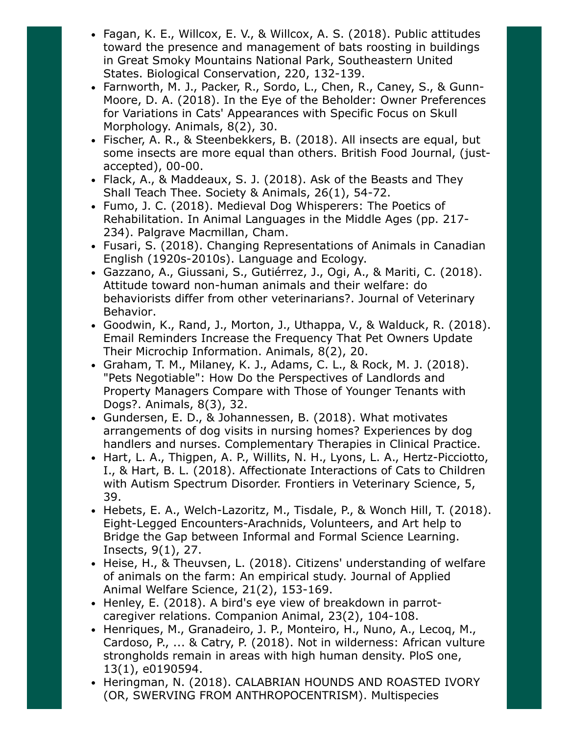- Fagan, K. E., Willcox, E. V., & Willcox, A. S. (2018). Public attitudes toward the presence and management of bats roosting in buildings in Great Smoky Mountains National Park, Southeastern United States. Biological Conservation, 220, 132-139.
- Farnworth, M. J., Packer, R., Sordo, L., Chen, R., Caney, S., & Gunn-Moore, D. A. (2018). In the Eye of the Beholder: Owner Preferences for Variations in Cats' Appearances with Specific Focus on Skull Morphology. Animals, 8(2), 30.
- Fischer, A. R., & Steenbekkers, B. (2018). All insects are equal, but some insects are more equal than others. British Food Journal, (justaccepted), 00-00.
- Flack, A., & Maddeaux, S. J. (2018). Ask of the Beasts and They Shall Teach Thee. Society & Animals, 26(1), 54-72.
- Fumo, J. C. (2018). Medieval Dog Whisperers: The Poetics of Rehabilitation. In Animal Languages in the Middle Ages (pp. 217- 234). Palgrave Macmillan, Cham.
- Fusari, S. (2018). Changing Representations of Animals in Canadian English (1920s-2010s). Language and Ecology.
- Gazzano, A., Giussani, S., Gutiérrez, J., Ogi, A., & Mariti, C. (2018). Attitude toward non-human animals and their welfare: do behaviorists differ from other veterinarians?. Journal of Veterinary Behavior.
- Goodwin, K., Rand, J., Morton, J., Uthappa, V., & Walduck, R. (2018). Email Reminders Increase the Frequency That Pet Owners Update Their Microchip Information. Animals, 8(2), 20.
- Graham, T. M., Milaney, K. J., Adams, C. L., & Rock, M. J. (2018). "Pets Negotiable": How Do the Perspectives of Landlords and Property Managers Compare with Those of Younger Tenants with Dogs?. Animals, 8(3), 32.
- Gundersen, E. D., & Johannessen, B. (2018). What motivates arrangements of dog visits in nursing homes? Experiences by dog handlers and nurses. Complementary Therapies in Clinical Practice.
- Hart, L. A., Thigpen, A. P., Willits, N. H., Lyons, L. A., Hertz-Picciotto, I., & Hart, B. L. (2018). Affectionate Interactions of Cats to Children with Autism Spectrum Disorder. Frontiers in Veterinary Science, 5, 39.
- Hebets, E. A., Welch-Lazoritz, M., Tisdale, P., & Wonch Hill, T. (2018). Eight-Legged Encounters-Arachnids, Volunteers, and Art help to Bridge the Gap between Informal and Formal Science Learning. Insects, 9(1), 27.
- Heise, H., & Theuvsen, L. (2018). Citizens' understanding of welfare of animals on the farm: An empirical study. Journal of Applied Animal Welfare Science, 21(2), 153-169.
- Henley, E. (2018). A bird's eye view of breakdown in parrotcaregiver relations. Companion Animal, 23(2), 104-108.
- Henriques, M., Granadeiro, J. P., Monteiro, H., Nuno, A., Lecoq, M., Cardoso, P., ... & Catry, P. (2018). Not in wilderness: African vulture strongholds remain in areas with high human density. PloS one, 13(1), e0190594.
- Heringman, N. (2018). CALABRIAN HOUNDS AND ROASTED IVORY (OR, SWERVING FROM ANTHROPOCENTRISM). Multispecies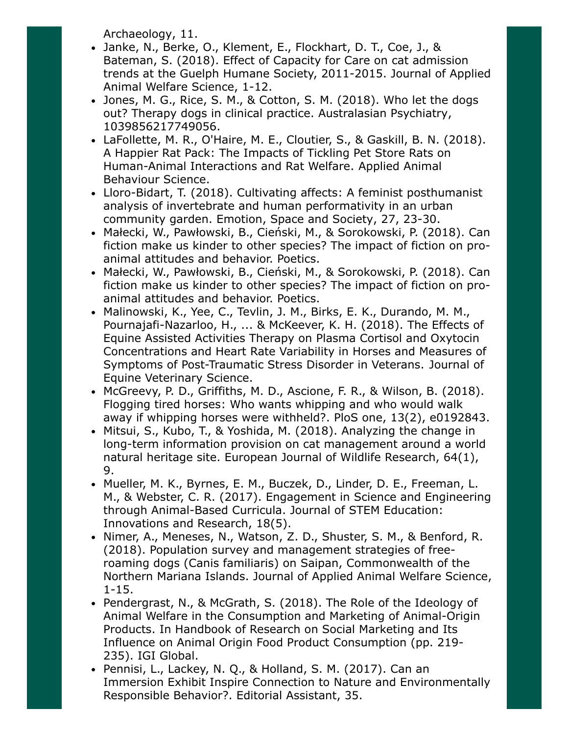Archaeology, 11.

- Janke, N., Berke, O., Klement, E., Flockhart, D. T., Coe, J., & Bateman, S. (2018). Effect of Capacity for Care on cat admission trends at the Guelph Humane Society, 2011-2015. Journal of Applied Animal Welfare Science, 1-12.
- Jones, M. G., Rice, S. M., & Cotton, S. M. (2018). Who let the dogs out? Therapy dogs in clinical practice. Australasian Psychiatry, 1039856217749056.
- LaFollette, M. R., O'Haire, M. E., Cloutier, S., & Gaskill, B. N. (2018). A Happier Rat Pack: The Impacts of Tickling Pet Store Rats on Human-Animal Interactions and Rat Welfare. Applied Animal Behaviour Science.
- Lloro-Bidart, T. (2018). Cultivating affects: A feminist posthumanist analysis of invertebrate and human performativity in an urban community garden. Emotion, Space and Society, 27, 23-30.
- Małecki, W., Pawłowski, B., Cieński, M., & Sorokowski, P. (2018). Can fiction make us kinder to other species? The impact of fiction on proanimal attitudes and behavior. Poetics.
- Małecki, W., Pawłowski, B., Cieński, M., & Sorokowski, P. (2018). Can fiction make us kinder to other species? The impact of fiction on proanimal attitudes and behavior. Poetics.
- Malinowski, K., Yee, C., Tevlin, J. M., Birks, E. K., Durando, M. M., Pournajafi-Nazarloo, H., ... & McKeever, K. H. (2018). The Effects of Equine Assisted Activities Therapy on Plasma Cortisol and Oxytocin Concentrations and Heart Rate Variability in Horses and Measures of Symptoms of Post-Traumatic Stress Disorder in Veterans. Journal of Equine Veterinary Science.
- McGreevy, P. D., Griffiths, M. D., Ascione, F. R., & Wilson, B. (2018). Flogging tired horses: Who wants whipping and who would walk away if whipping horses were withheld?. PloS one, 13(2), e0192843.
- Mitsui, S., Kubo, T., & Yoshida, M. (2018). Analyzing the change in long-term information provision on cat management around a world natural heritage site. European Journal of Wildlife Research, 64(1), 9.
- Mueller, M. K., Byrnes, E. M., Buczek, D., Linder, D. E., Freeman, L. M., & Webster, C. R. (2017). Engagement in Science and Engineering through Animal-Based Curricula. Journal of STEM Education: Innovations and Research, 18(5).
- Nimer, A., Meneses, N., Watson, Z. D., Shuster, S. M., & Benford, R. (2018). Population survey and management strategies of freeroaming dogs (Canis familiaris) on Saipan, Commonwealth of the Northern Mariana Islands. Journal of Applied Animal Welfare Science, 1-15.
- Pendergrast, N., & McGrath, S. (2018). The Role of the Ideology of Animal Welfare in the Consumption and Marketing of Animal-Origin Products. In Handbook of Research on Social Marketing and Its Influence on Animal Origin Food Product Consumption (pp. 219- 235). IGI Global.
- Pennisi, L., Lackey, N. Q., & Holland, S. M. (2017). Can an Immersion Exhibit Inspire Connection to Nature and Environmentally Responsible Behavior?. Editorial Assistant, 35.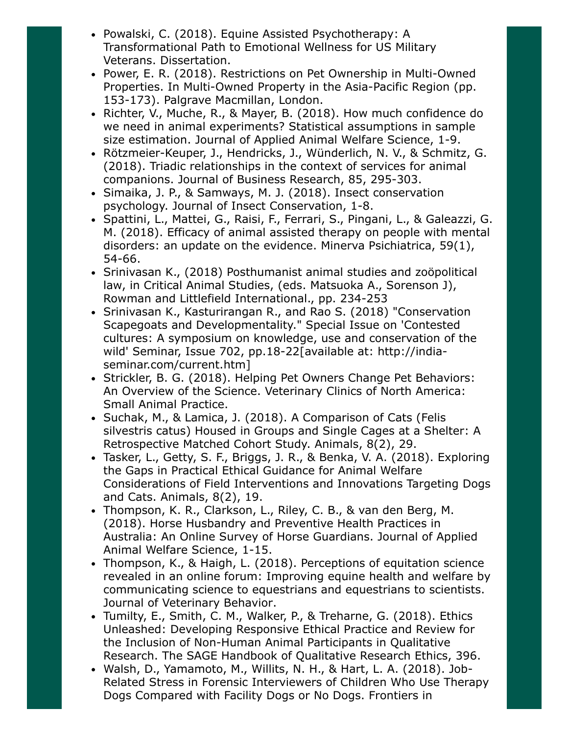- Powalski, C. (2018). Equine Assisted Psychotherapy: A Transformational Path to Emotional Wellness for US Military Veterans. Dissertation.
- Power, E. R. (2018). Restrictions on Pet Ownership in Multi-Owned Properties. In Multi-Owned Property in the Asia-Pacific Region (pp. 153-173). Palgrave Macmillan, London.
- Richter, V., Muche, R., & Mayer, B. (2018). How much confidence do we need in animal experiments? Statistical assumptions in sample size estimation. Journal of Applied Animal Welfare Science, 1-9.
- Rötzmeier-Keuper, J., Hendricks, J., Wünderlich, N. V., & Schmitz, G. (2018). Triadic relationships in the context of services for animal companions. Journal of Business Research, 85, 295-303.
- Simaika, J. P., & Samways, M. J. (2018). Insect conservation psychology. Journal of Insect Conservation, 1-8.
- Spattini, L., Mattei, G., Raisi, F., Ferrari, S., Pingani, L., & Galeazzi, G. M. (2018). Efficacy of animal assisted therapy on people with mental disorders: an update on the evidence. Minerva Psichiatrica, 59(1), 54-66.
- Srinivasan K., (2018) Posthumanist animal studies and zoöpolitical law, in Critical Animal Studies, (eds. Matsuoka A., Sorenson J), Rowman and Littlefield International., pp. 234-253
- Srinivasan K., Kasturirangan R., and Rao S. (2018) "Conservation Scapegoats and Developmentality." Special Issue on 'Contested cultures: A symposium on knowledge, use and conservation of the wild' Seminar, Issue 702, pp.18-22[available at: http://indiaseminar.com/current.htm]
- Strickler, B. G. (2018). Helping Pet Owners Change Pet Behaviors: An Overview of the Science. Veterinary Clinics of North America: Small Animal Practice.
- Suchak, M., & Lamica, J. (2018). A Comparison of Cats (Felis silvestris catus) Housed in Groups and Single Cages at a Shelter: A Retrospective Matched Cohort Study. Animals, 8(2), 29.
- Tasker, L., Getty, S. F., Briggs, J. R., & Benka, V. A. (2018). Exploring the Gaps in Practical Ethical Guidance for Animal Welfare Considerations of Field Interventions and Innovations Targeting Dogs and Cats. Animals, 8(2), 19.
- Thompson, K. R., Clarkson, L., Riley, C. B., & van den Berg, M. (2018). Horse Husbandry and Preventive Health Practices in Australia: An Online Survey of Horse Guardians. Journal of Applied Animal Welfare Science, 1-15.
- Thompson, K., & Haigh, L. (2018). Perceptions of equitation science revealed in an online forum: Improving equine health and welfare by communicating science to equestrians and equestrians to scientists. Journal of Veterinary Behavior.
- Tumilty, E., Smith, C. M., Walker, P., & Treharne, G. (2018). Ethics Unleashed: Developing Responsive Ethical Practice and Review for the Inclusion of Non-Human Animal Participants in Qualitative Research. The SAGE Handbook of Qualitative Research Ethics, 396.
- Walsh, D., Yamamoto, M., Willits, N. H., & Hart, L. A. (2018). Job-Related Stress in Forensic Interviewers of Children Who Use Therapy Dogs Compared with Facility Dogs or No Dogs. Frontiers in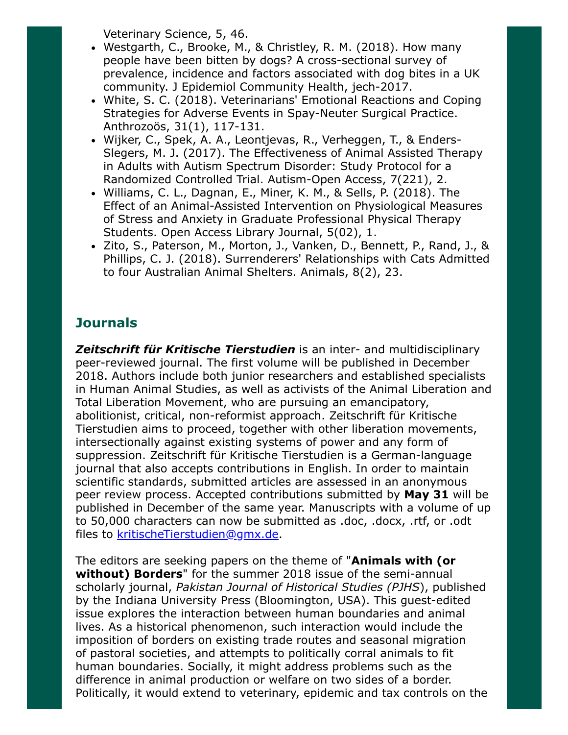Veterinary Science, 5, 46.

- Westgarth, C., Brooke, M., & Christley, R. M. (2018). How many people have been bitten by dogs? A cross-sectional survey of prevalence, incidence and factors associated with dog bites in a UK community. J Epidemiol Community Health, jech-2017.
- White, S. C. (2018). Veterinarians' Emotional Reactions and Coping Strategies for Adverse Events in Spay-Neuter Surgical Practice. Anthrozoös, 31(1), 117-131.
- Wijker, C., Spek, A. A., Leontjevas, R., Verheggen, T., & Enders-Slegers, M. J. (2017). The Effectiveness of Animal Assisted Therapy in Adults with Autism Spectrum Disorder: Study Protocol for a Randomized Controlled Trial. Autism-Open Access, 7(221), 2.
- Williams, C. L., Dagnan, E., Miner, K. M., & Sells, P. (2018). The Effect of an Animal-Assisted Intervention on Physiological Measures of Stress and Anxiety in Graduate Professional Physical Therapy Students. Open Access Library Journal, 5(02), 1.
- Zito, S., Paterson, M., Morton, J., Vanken, D., Bennett, P., Rand, J., & Phillips, C. J. (2018). Surrenderers' Relationships with Cats Admitted to four Australian Animal Shelters. Animals, 8(2), 23.

# **Journals**

**Zeitschrift für Kritische Tierstudien** is an inter- and multidisciplinary peer-reviewed journal. The first volume will be published in December 2018. Authors include both junior researchers and established specialists in Human Animal Studies, as well as activists of the Animal Liberation and Total Liberation Movement, who are pursuing an emancipatory, abolitionist, critical, non-reformist approach. Zeitschrift für Kritische Tierstudien aims to proceed, together with other liberation movements, intersectionally against existing systems of power and any form of suppression. Zeitschrift für Kritische Tierstudien is a German-language journal that also accepts contributions in English. In order to maintain scientific standards, submitted articles are assessed in an anonymous peer review process. Accepted contributions submitted by May 31 will be published in December of the same year. Manuscripts with a volume of up to 50,000 characters can now be submitted as .doc, .docx, .rtf, or .odt files to [kritischeTierstudien@gmx.de](mailto:kritischeTierstudien@gmx.de).

The editors are seeking papers on the theme of "Animals with (or without) Borders" for the summer 2018 issue of the semi-annual scholarly journal, Pakistan Journal of Historical Studies (PJHS), published by the Indiana University Press (Bloomington, USA). This guest-edited issue explores the interaction between human boundaries and animal lives. As a historical phenomenon, such interaction would include the imposition of borders on existing trade routes and seasonal migration of pastoral societies, and attempts to politically corral animals to fit human boundaries. Socially, it might address problems such as the difference in animal production or welfare on two sides of a border. Politically, it would extend to veterinary, epidemic and tax controls on the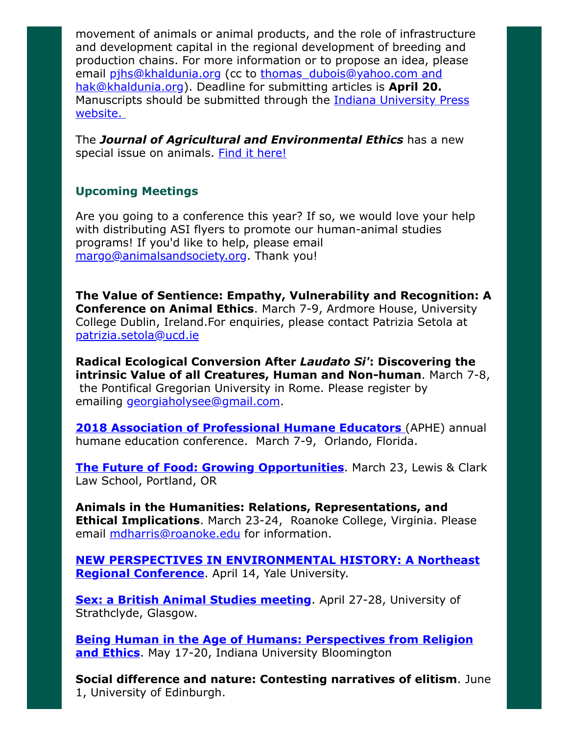movement of animals or animal products, and the role of infrastructure and development capital in the regional development of breeding and production chains. For more information or to propose an idea, please email [pjhs@khaldunia.org](mailto:pjhs@khaldunia.org) (cc to thomas dubois@yahoo.com and [hak@khaldunia.org](mailto:hak@khaldunia.org)). Deadline for submitting articles is April 20. Manuscripts should be submitted through the **Indiana University Press** website.

The **Journal of Agricultural and Environmental Ethics** has a new special issue on animals. [Find it here!](https://link.springer.com/journal/10806/31/1/page/1)

## Upcoming Meetings

Are you going to a conference this year? If so, we would love your help with distributing ASI flyers to promote our human-animal studies programs! If you'd like to help, please email [margo@animalsandsociety.org](mailto:margo@animalsandsociety.org). Thank you!

The Value of Sentience: Empathy, Vulnerability and Recognition: A Conference on Animal Ethics. March 7-9, Ardmore House, University College Dublin, Ireland.For enquiries, please contact Patrizia Setola at [patrizia.setola@ucd.ie](mailto:patrizia.setola@ucd.ie)

Radical Ecological Conversion After Laudato Si': Discovering the intrinsic Value of all Creatures, Human and Non-human. March 7-8, the Pontifical Gregorian University in Rome. Please register by emailing *[georgiaholysee@gmail.com](mailto:georgiaholysee@gmail.com).* 

**2018 Association of Professional Humane Educators** (APHE) annual humane education conference. March 7-9, Orlando, Florida.

[The Future of Food: Growing Opportunities](https://law.lclark.edu/live/events/267675-the-future-of-food-growing-opportunities). March 23, Lewis & Clark Law School, Portland, OR

Animals in the Humanities: Relations, Representations, and **Ethical Implications.** March 23-24, Roanoke College, Virginia. Please email [mdharris@roanoke.edu](mailto:mdharris@roanoke.edu) for information.

[NEW PERSPECTIVES IN ENVIRONMENTAL HISTORY: A Northeast](http://environmentalhistory.yale.edu/) Regional Conference. April 14, Yale University.

**[Sex: a British Animal Studies meeting](https://www.britishanimalstudiesnetwork.org.uk/FutureMeetings/Sex.aspx)**. April 27-28, University of Strathclyde, Glasgow.

[Being Human in the Age of Humans: Perspectives from Religion](https://www.indiana.edu/~iucweb/beinghuman/) and Ethics. May 17-20, Indiana University Bloomington

Social difference and nature: Contesting narratives of elitism. June 1, University of Edinburgh.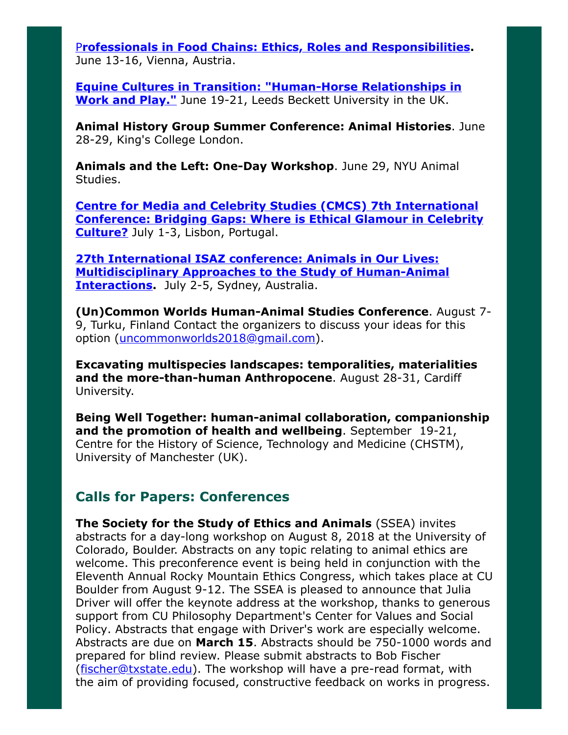P[rofessionals in Food Chains: Ethics, Roles and Responsibilities](https://www.vetmeduni.ac.at/de/eursafe2018/welcome/). June 13-16, Vienna, Austria.

[Equine Cultures in Transition: "Human-Horse Relationships in](http://www.leedsbeckett.ac.uk/events/faculty-events/equine-cultures-in-transition/) Work and Play." June 19-21, Leeds Beckett University in the UK.

Animal History Group Summer Conference: Animal Histories. June 28-29, King's College London.

Animals and the Left: One-Day Workshop. June 29, NYU Animal Studies.

Centre for Media and Celebrity Studies (CMCS) 7th International [Conference: Bridging Gaps: Where is Ethical Glamour in Celebrity](http://cmc-centre.com/conferences/lisbon2018/) Culture? July 1-3, Lisbon, Portugal.

27th International ISAZ conference: Animals in Our Lives: [Multidisciplinary Approaches to the Study of Human-Animal](http://www.isaz2018.com/) **Interactions.** July 2-5, Sydney, Australia.

(Un)Common Worlds Human-Animal Studies Conference. August 7- 9, Turku, Finland Contact the organizers to discuss your ideas for this option ([uncommonworlds2018@gmail.com\)](mailto:uncommonworlds2018@gmail.com).

Excavating multispecies landscapes: temporalities, materialities and the more-than-human Anthropocene. August 28-31, Cardiff University.

Being Well Together: human-animal collaboration, companionship and the promotion of health and wellbeing. September 19-21, Centre for the History of Science, Technology and Medicine (CHSTM), University of Manchester (UK).

# Calls for Papers: Conferences

The Society for the Study of Ethics and Animals (SSEA) invites abstracts for a day-long workshop on August 8, 2018 at the University of Colorado, Boulder. Abstracts on any topic relating to animal ethics are welcome. This preconference event is being held in conjunction with the Eleventh Annual Rocky Mountain Ethics Congress, which takes place at CU Boulder from August 9-12. The SSEA is pleased to announce that Julia Driver will offer the keynote address at the workshop, thanks to generous support from CU Philosophy Department's Center for Values and Social Policy. Abstracts that engage with Driver's work are especially welcome. Abstracts are due on March 15. Abstracts should be 750-1000 words and prepared for blind review. Please submit abstracts to Bob Fischer ([fischer@txstate.edu\)](mailto:fischer@txstate.edu). The workshop will have a pre-read format, with the aim of providing focused, constructive feedback on works in progress.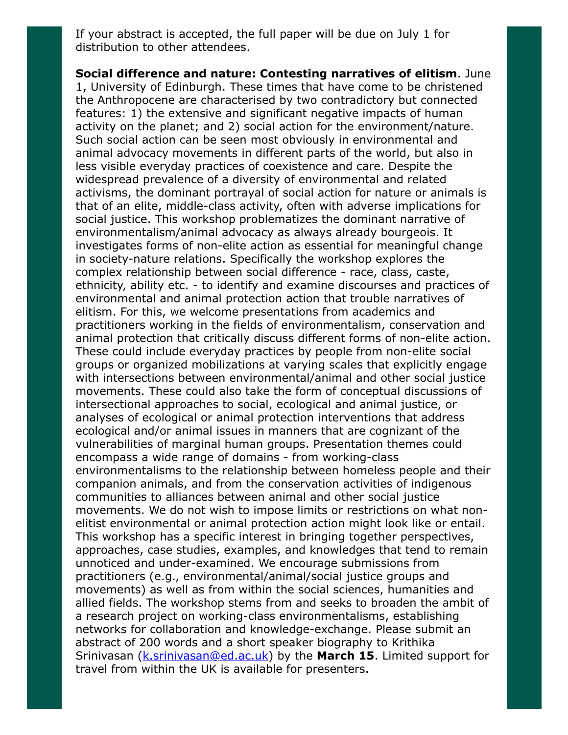If your abstract is accepted, the full paper will be due on July 1 for distribution to other attendees.

Social difference and nature: Contesting narratives of elitism. June 1, University of Edinburgh. These times that have come to be christened the Anthropocene are characterised by two contradictory but connected features: 1) the extensive and significant negative impacts of human activity on the planet; and 2) social action for the environment/nature. Such social action can be seen most obviously in environmental and animal advocacy movements in different parts of the world, but also in less visible everyday practices of coexistence and care. Despite the widespread prevalence of a diversity of environmental and related activisms, the dominant portrayal of social action for nature or animals is that of an elite, middle-class activity, often with adverse implications for social justice. This workshop problematizes the dominant narrative of environmentalism/animal advocacy as always already bourgeois. It investigates forms of non-elite action as essential for meaningful change in society-nature relations. Specifically the workshop explores the complex relationship between social difference - race, class, caste, ethnicity, ability etc. - to identify and examine discourses and practices of environmental and animal protection action that trouble narratives of elitism. For this, we welcome presentations from academics and practitioners working in the fields of environmentalism, conservation and animal protection that critically discuss different forms of non-elite action. These could include everyday practices by people from non-elite social groups or organized mobilizations at varying scales that explicitly engage with intersections between environmental/animal and other social justice movements. These could also take the form of conceptual discussions of intersectional approaches to social, ecological and animal justice, or analyses of ecological or animal protection interventions that address ecological and/or animal issues in manners that are cognizant of the vulnerabilities of marginal human groups. Presentation themes could encompass a wide range of domains - from working-class environmentalisms to the relationship between homeless people and their companion animals, and from the conservation activities of indigenous communities to alliances between animal and other social justice movements. We do not wish to impose limits or restrictions on what nonelitist environmental or animal protection action might look like or entail. This workshop has a specific interest in bringing together perspectives, approaches, case studies, examples, and knowledges that tend to remain unnoticed and under-examined. We encourage submissions from practitioners (e.g., environmental/animal/social justice groups and movements) as well as from within the social sciences, humanities and allied fields. The workshop stems from and seeks to broaden the ambit of a research project on working-class environmentalisms, establishing networks for collaboration and knowledge-exchange. Please submit an abstract of 200 words and a short speaker biography to Krithika Srinivasan (*[k.srinivasan@ed.ac.uk](mailto:k.srinivasan@ed.ac.uk)*) by the March 15. Limited support for travel from within the UK is available for presenters.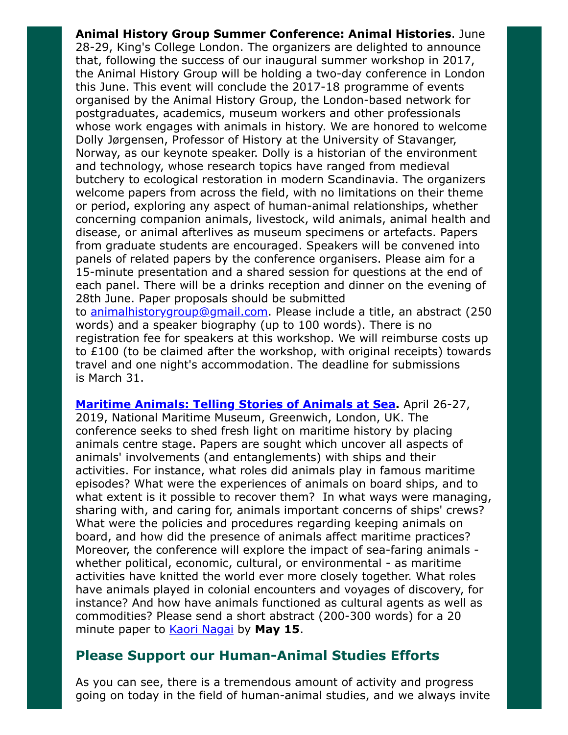Animal History Group Summer Conference: Animal Histories. June 28-29, King's College London. The organizers are delighted to announce that, following the success of our inaugural summer workshop in 2017, the Animal History Group will be holding a two-day conference in London this June. This event will conclude the 2017-18 programme of events organised by the Animal History Group, the London-based network for postgraduates, academics, museum workers and other professionals whose work engages with animals in history. We are honored to welcome Dolly Jørgensen, Professor of History at the University of Stavanger, Norway, as our keynote speaker. Dolly is a historian of the environment and technology, whose research topics have ranged from medieval butchery to ecological restoration in modern Scandinavia. The organizers welcome papers from across the field, with no limitations on their theme or period, exploring any aspect of human-animal relationships, whether concerning companion animals, livestock, wild animals, animal health and disease, or animal afterlives as museum specimens or artefacts. Papers from graduate students are encouraged. Speakers will be convened into panels of related papers by the conference organisers. Please aim for a 15-minute presentation and a shared session for questions at the end of each panel. There will be a drinks reception and dinner on the evening of 28th June. Paper proposals should be submitted to [animalhistorygroup@gmail.com](mailto:animalhistorygroup@gmail.com). Please include a title, an abstract (250 words) and a speaker biography (up to 100 words). There is no registration fee for speakers at this workshop. We will reimburse costs up to £100 (to be claimed after the workshop, with original receipts) towards travel and one night's accommodation. The deadline for submissions

is March 31.

**[Maritime Animals: Telling Stories of Animals at Sea](https://research.kent.ac.uk/kentanimalhumanitiesnetwork/maritime-animals-conference/).** April 26-27, 2019, National Maritime Museum, Greenwich, London, UK. The conference seeks to shed fresh light on maritime history by placing animals centre stage. Papers are sought which uncover all aspects of animals' involvements (and entanglements) with ships and their activities. For instance, what roles did animals play in famous maritime episodes? What were the experiences of animals on board ships, and to what extent is it possible to recover them? In what ways were managing, sharing with, and caring for, animals important concerns of ships' crews? What were the policies and procedures regarding keeping animals on board, and how did the presence of animals affect maritime practices? Moreover, the conference will explore the impact of sea-faring animals whether political, economic, cultural, or environmental - as maritime activities have knitted the world ever more closely together. What roles have animals played in colonial encounters and voyages of discovery, for instance? And how have animals functioned as cultural agents as well as commodities? Please send a short abstract (200-300 words) for a 20 minute paper to **Kaori Nagai** by May 15.

# Please Support our Human-Animal Studies Efforts

As you can see, there is a tremendous amount of activity and progress going on today in the field of human-animal studies, and we always invite